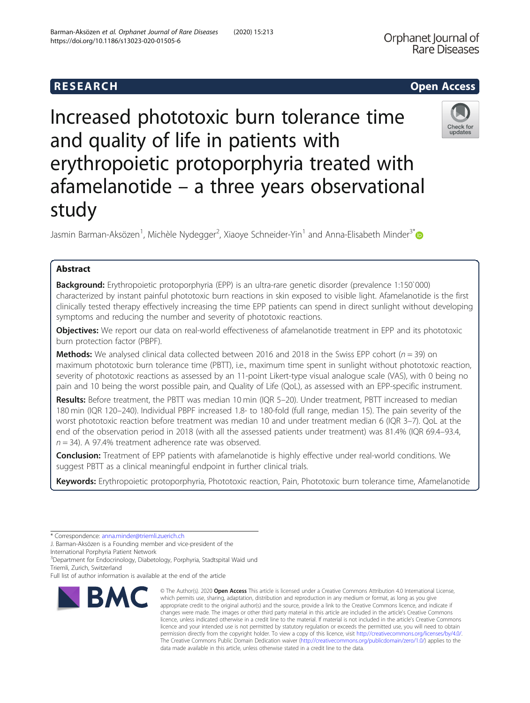# Increased phototoxic burn tolerance time and quality of life in patients with erythropoietic protoporphyria treated with afamelanotide – a three years observational study

Jasmin Barman-Aksözen<sup>1</sup>, Michèle Nydegger<sup>2</sup>, Xiaoye Schneider-Yin<sup>1</sup> and Anna-Elisabeth Minder<sup>3\*</sup>

### Abstract

Background: Erythropoietic protoporphyria (EPP) is an ultra-rare genetic disorder (prevalence 1:150`000) characterized by instant painful phototoxic burn reactions in skin exposed to visible light. Afamelanotide is the first clinically tested therapy effectively increasing the time EPP patients can spend in direct sunlight without developing symptoms and reducing the number and severity of phototoxic reactions.

Objectives: We report our data on real-world effectiveness of afamelanotide treatment in EPP and its phototoxic burn protection factor (PBPF).

**Methods:** We analysed clinical data collected between 2016 and 2018 in the Swiss EPP cohort ( $n = 39$ ) on maximum phototoxic burn tolerance time (PBTT), i.e., maximum time spent in sunlight without phototoxic reaction, severity of phototoxic reactions as assessed by an 11-point Likert-type visual analogue scale (VAS), with 0 being no pain and 10 being the worst possible pain, and Quality of Life (QoL), as assessed with an EPP-specific instrument.

Results: Before treatment, the PBTT was median 10 min (IQR 5-20). Under treatment, PBTT increased to median 180 min (IQR 120–240). Individual PBPF increased 1.8- to 180-fold (full range, median 15). The pain severity of the worst phototoxic reaction before treatment was median 10 and under treatment median 6 (IQR 3–7). QoL at the end of the observation period in 2018 (with all the assessed patients under treatment) was 81.4% (IQR 69.4–93.4,  $n = 34$ ). A 97.4% treatment adherence rate was observed.

Conclusion: Treatment of EPP patients with afamelanotide is highly effective under real-world conditions. We suggest PBTT as a clinical meaningful endpoint in further clinical trials.

Keywords: Erythropoietic protoporphyria, Phototoxic reaction, Pain, Phototoxic burn tolerance time, Afamelanotide

J. Barman-Aksözen is a Founding member and vice-president of the

International Porphyria Patient Network <sup>3</sup>Department for Endocrinology, Diabetology, Porphyria, Stadtspital Waid und

Triemli, Zurich, Switzerland

**BMC** 

## **RESEARCH CHEAR CHEAR CHEAR CHEAR CHEAR CHEAR CHEAR CHEAR CHEAR CHEAR CHEAR CHEAR CHEAR CHEAR CHEAR CHEAR CHEAR**

© The Author(s), 2020 **Open Access** This article is licensed under a Creative Commons Attribution 4.0 International License, which permits use, sharing, adaptation, distribution and reproduction in any medium or format, as long as you give appropriate credit to the original author(s) and the source, provide a link to the Creative Commons licence, and indicate if changes were made. The images or other third party material in this article are included in the article's Creative Commons licence, unless indicated otherwise in a credit line to the material. If material is not included in the article's Creative Commons licence and your intended use is not permitted by statutory regulation or exceeds the permitted use, you will need to obtain permission directly from the copyright holder. To view a copy of this licence, visit [http://creativecommons.org/licenses/by/4.0/.](http://creativecommons.org/licenses/by/4.0/) The Creative Commons Public Domain Dedication waiver [\(http://creativecommons.org/publicdomain/zero/1.0/](http://creativecommons.org/publicdomain/zero/1.0/)) applies to the data made available in this article, unless otherwise stated in a credit line to the data.





<sup>\*</sup> Correspondence: [anna.minder@triemli.zuerich.ch](mailto:anna.minder@triemli.zuerich.ch)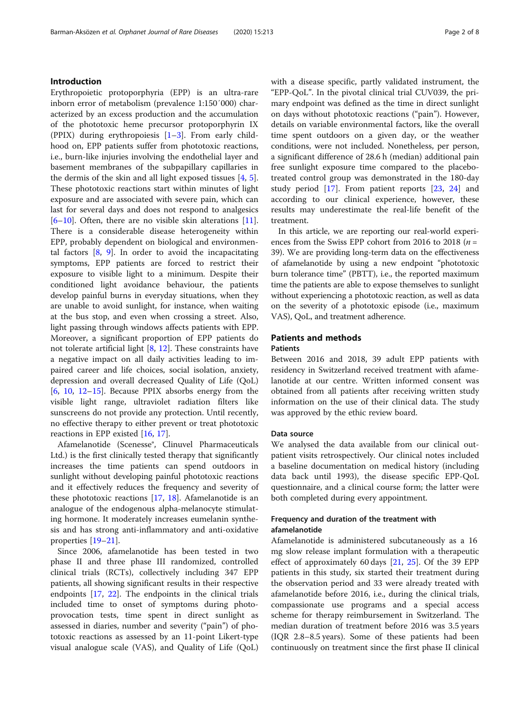#### Introduction

Erythropoietic protoporphyria (EPP) is an ultra-rare inborn error of metabolism (prevalence 1:150′000) characterized by an excess production and the accumulation of the phototoxic heme precursor protoporphyrin IX (PPIX) during erythropoiesis [[1](#page-6-0)–[3\]](#page-6-0). From early childhood on, EPP patients suffer from phototoxic reactions, i.e., burn-like injuries involving the endothelial layer and basement membranes of the subpapillary capillaries in the dermis of the skin and all light exposed tissues [\[4](#page-6-0), [5](#page-6-0)]. These phototoxic reactions start within minutes of light exposure and are associated with severe pain, which can last for several days and does not respond to analgesics [[6](#page-6-0)–[10\]](#page-6-0). Often, there are no visible skin alterations [\[11](#page-6-0)]. There is a considerable disease heterogeneity within EPP, probably dependent on biological and environmental factors  $[8, 9]$  $[8, 9]$  $[8, 9]$  $[8, 9]$ . In order to avoid the incapacitating symptoms, EPP patients are forced to restrict their exposure to visible light to a minimum. Despite their conditioned light avoidance behaviour, the patients develop painful burns in everyday situations, when they are unable to avoid sunlight, for instance, when waiting at the bus stop, and even when crossing a street. Also, light passing through windows affects patients with EPP. Moreover, a significant proportion of EPP patients do not tolerate artificial light  $[8, 12]$  $[8, 12]$  $[8, 12]$  $[8, 12]$ . These constraints have a negative impact on all daily activities leading to impaired career and life choices, social isolation, anxiety, depression and overall decreased Quality of Life (QoL) [[6,](#page-6-0) [10](#page-6-0), [12](#page-6-0)–[15\]](#page-6-0). Because PPIX absorbs energy from the visible light range, ultraviolet radiation filters like sunscreens do not provide any protection. Until recently, no effective therapy to either prevent or treat phototoxic reactions in EPP existed [\[16](#page-6-0), [17](#page-6-0)].

Afamelanotide (Scenesse®, Clinuvel Pharmaceuticals Ltd.) is the first clinically tested therapy that significantly increases the time patients can spend outdoors in sunlight without developing painful phototoxic reactions and it effectively reduces the frequency and severity of these phototoxic reactions [[17,](#page-6-0) [18](#page-6-0)]. Afamelanotide is an analogue of the endogenous alpha-melanocyte stimulating hormone. It moderately increases eumelanin synthesis and has strong anti-inflammatory and anti-oxidative properties [\[19](#page-6-0)–[21\]](#page-6-0).

Since 2006, afamelanotide has been tested in two phase II and three phase III randomized, controlled clinical trials (RCTs), collectively including 347 EPP patients, all showing significant results in their respective endpoints [[17,](#page-6-0) [22](#page-6-0)]. The endpoints in the clinical trials included time to onset of symptoms during photoprovocation tests, time spent in direct sunlight as assessed in diaries, number and severity ("pain") of phototoxic reactions as assessed by an 11-point Likert-type visual analogue scale (VAS), and Quality of Life (QoL) with a disease specific, partly validated instrument, the "EPP-QoL". In the pivotal clinical trial CUV039, the primary endpoint was defined as the time in direct sunlight on days without phototoxic reactions ("pain"). However, details on variable environmental factors, like the overall time spent outdoors on a given day, or the weather conditions, were not included. Nonetheless, per person, a significant difference of 28.6 h (median) additional pain free sunlight exposure time compared to the placebotreated control group was demonstrated in the 180-day study period [\[17](#page-6-0)]. From patient reports [\[23](#page-6-0), [24\]](#page-7-0) and according to our clinical experience, however, these results may underestimate the real-life benefit of the treatment.

In this article, we are reporting our real-world experiences from the Swiss EPP cohort from 2016 to 2018 ( $n =$ 39). We are providing long-term data on the effectiveness of afamelanotide by using a new endpoint "phototoxic burn tolerance time" (PBTT), i.e., the reported maximum time the patients are able to expose themselves to sunlight without experiencing a phototoxic reaction, as well as data on the severity of a phototoxic episode (i.e., maximum VAS), QoL, and treatment adherence.

#### Patients and methods

#### **Patients**

Between 2016 and 2018, 39 adult EPP patients with residency in Switzerland received treatment with afamelanotide at our centre. Written informed consent was obtained from all patients after receiving written study information on the use of their clinical data. The study was approved by the ethic review board.

#### Data source

We analysed the data available from our clinical outpatient visits retrospectively. Our clinical notes included a baseline documentation on medical history (including data back until 1993), the disease specific EPP-QoL questionnaire, and a clinical course form; the latter were both completed during every appointment.

#### Frequency and duration of the treatment with afamelanotide

Afamelanotide is administered subcutaneously as a 16 mg slow release implant formulation with a therapeutic effect of approximately 60 days [[21](#page-6-0), [25](#page-7-0)]. Of the 39 EPP patients in this study, six started their treatment during the observation period and 33 were already treated with afamelanotide before 2016, i.e., during the clinical trials, compassionate use programs and a special access scheme for therapy reimbursement in Switzerland. The median duration of treatment before 2016 was 3.5 years (IQR 2.8–8.5 years). Some of these patients had been continuously on treatment since the first phase II clinical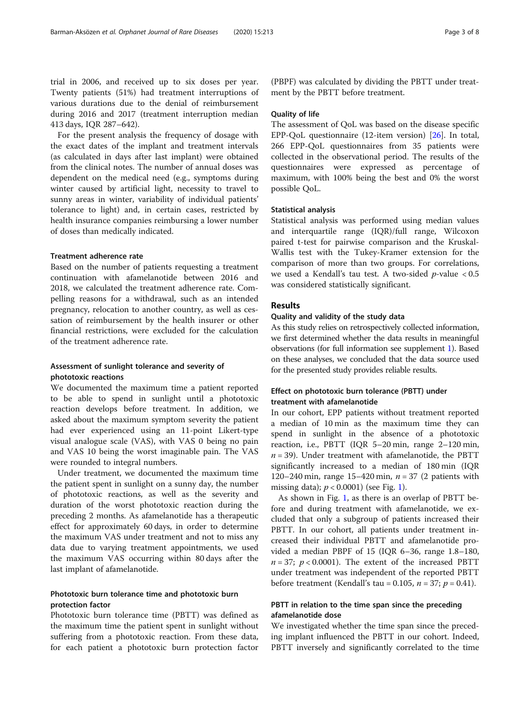trial in 2006, and received up to six doses per year. Twenty patients (51%) had treatment interruptions of various durations due to the denial of reimbursement during 2016 and 2017 (treatment interruption median 413 days, IQR 287–642).

For the present analysis the frequency of dosage with the exact dates of the implant and treatment intervals (as calculated in days after last implant) were obtained from the clinical notes. The number of annual doses was dependent on the medical need (e.g., symptoms during winter caused by artificial light, necessity to travel to sunny areas in winter, variability of individual patients' tolerance to light) and, in certain cases, restricted by health insurance companies reimbursing a lower number of doses than medically indicated.

#### Treatment adherence rate

Based on the number of patients requesting a treatment continuation with afamelanotide between 2016 and 2018, we calculated the treatment adherence rate. Compelling reasons for a withdrawal, such as an intended pregnancy, relocation to another country, as well as cessation of reimbursement by the health insurer or other financial restrictions, were excluded for the calculation of the treatment adherence rate.

#### Assessment of sunlight tolerance and severity of phototoxic reactions

We documented the maximum time a patient reported to be able to spend in sunlight until a phototoxic reaction develops before treatment. In addition, we asked about the maximum symptom severity the patient had ever experienced using an 11-point Likert-type visual analogue scale (VAS), with VAS 0 being no pain and VAS 10 being the worst imaginable pain. The VAS were rounded to integral numbers.

Under treatment, we documented the maximum time the patient spent in sunlight on a sunny day, the number of phototoxic reactions, as well as the severity and duration of the worst phototoxic reaction during the preceding 2 months. As afamelanotide has a therapeutic effect for approximately 60 days, in order to determine the maximum VAS under treatment and not to miss any data due to varying treatment appointments, we used the maximum VAS occurring within 80 days after the last implant of afamelanotide.

#### Phototoxic burn tolerance time and phototoxic burn protection factor

Phototoxic burn tolerance time (PBTT) was defined as the maximum time the patient spent in sunlight without suffering from a phototoxic reaction. From these data, for each patient a phototoxic burn protection factor

(PBPF) was calculated by dividing the PBTT under treatment by the PBTT before treatment.

#### Quality of life

The assessment of QoL was based on the disease specific EPP-QoL questionnaire (12-item version) [[26\]](#page-7-0). In total, 266 EPP-QoL questionnaires from 35 patients were collected in the observational period. The results of the questionnaires were expressed as percentage of maximum, with 100% being the best and 0% the worst possible QoL.

#### Statistical analysis

Statistical analysis was performed using median values and interquartile range (IQR)/full range, Wilcoxon paired t-test for pairwise comparison and the Kruskal-Wallis test with the Tukey-Kramer extension for the comparison of more than two groups. For correlations, we used a Kendall's tau test. A two-sided  $p$ -value < 0.5 was considered statistically significant.

#### Results

#### Quality and validity of the study data

As this study relies on retrospectively collected information, we first determined whether the data results in meaningful observations (for full information see supplement [1\)](#page-6-0). Based on these analyses, we concluded that the data source used for the presented study provides reliable results.

#### Effect on phototoxic burn tolerance (PBTT) under treatment with afamelanotide

In our cohort, EPP patients without treatment reported a median of 10 min as the maximum time they can spend in sunlight in the absence of a phototoxic reaction, i.e., PBTT (IQR 5–20 min, range 2–120 min,  $n = 39$ ). Under treatment with afamelanotide, the PBTT significantly increased to a median of 180 min (IQR 120–240 min, range 15–420 min,  $n = 37$  (2 patients with missing data);  $p < 0.0001$  $p < 0.0001$ ) (see Fig. 1).

As shown in Fig. [1](#page-3-0), as there is an overlap of PBTT before and during treatment with afamelanotide, we excluded that only a subgroup of patients increased their PBTT. In our cohort, all patients under treatment increased their individual PBTT and afamelanotide provided a median PBPF of 15 (IQR 6–36, range 1.8–180,  $n = 37$ ;  $p < 0.0001$ ). The extent of the increased PBTT under treatment was independent of the reported PBTT before treatment (Kendall's tau = 0.105,  $n = 37$ ;  $p = 0.41$ ).

#### PBTT in relation to the time span since the preceding afamelanotide dose

We investigated whether the time span since the preceding implant influenced the PBTT in our cohort. Indeed, PBTT inversely and significantly correlated to the time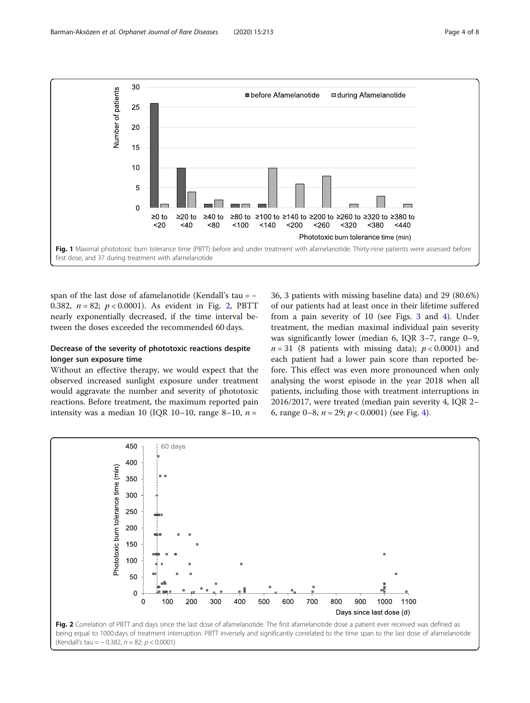<span id="page-3-0"></span>

span of the last dose of afamelanotide (Kendall's tau = − 0.382,  $n = 82$ ;  $p < 0.0001$ ). As evident in Fig. 2, PBTT nearly exponentially decreased, if the time interval between the doses exceeded the recommended 60 days.

#### Decrease of the severity of phototoxic reactions despite longer sun exposure time

Without an effective therapy, we would expect that the observed increased sunlight exposure under treatment would aggravate the number and severity of phototoxic reactions. Before treatment, the maximum reported pain intensity was a median 10 (IQR 10–10, range 8–10,  $n =$ 

36, 3 patients with missing baseline data) and 29 (80.6%) of our patients had at least once in their lifetime suffered from a pain severity of 10 (see Figs. [3](#page-4-0) and [4\)](#page-4-0). Under treatment, the median maximal individual pain severity was significantly lower (median 6, IQR 3–7, range 0–9,  $n = 31$  (8 patients with missing data);  $p < 0.0001$ ) and each patient had a lower pain score than reported before. This effect was even more pronounced when only analysing the worst episode in the year 2018 when all patients, including those with treatment interruptions in 2016/2017, were treated (median pain severity 4, IQR 2– 6, range 0–8,  $n = 29$ ;  $p < 0.0001$ ) (see Fig. [4](#page-4-0)).

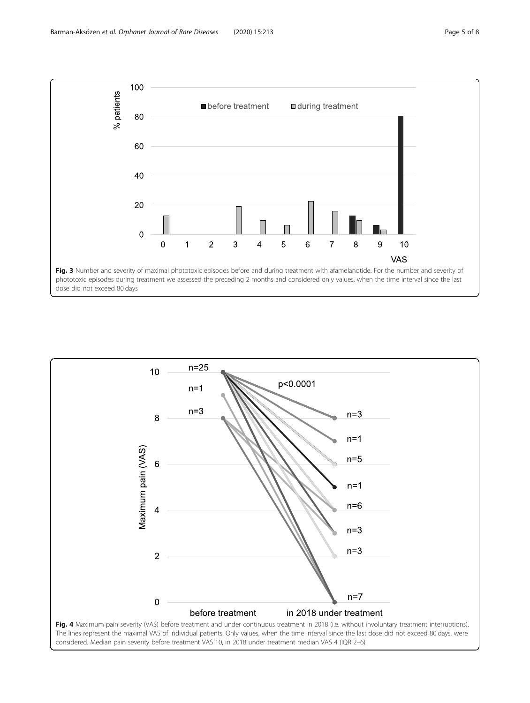<span id="page-4-0"></span>



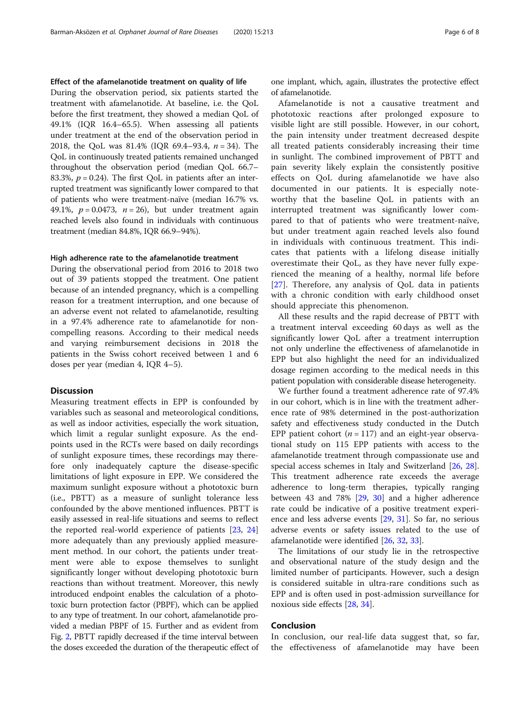During the observation period, six patients started the treatment with afamelanotide. At baseline, i.e. the QoL before the first treatment, they showed a median QoL of 49.1% (IQR 16.4–65.5). When assessing all patients under treatment at the end of the observation period in 2018, the QoL was 81.4% (IQR 69.4–93.4,  $n = 34$ ). The QoL in continuously treated patients remained unchanged throughout the observation period (median QoL 66.7– 83.3%,  $p = 0.24$ ). The first QoL in patients after an interrupted treatment was significantly lower compared to that of patients who were treatment-naïve (median 16.7% vs. 49.1%,  $p = 0.0473$ ,  $n = 26$ ), but under treatment again reached levels also found in individuals with continuous treatment (median 84.8%, IQR 66.9–94%).

#### High adherence rate to the afamelanotide treatment

During the observational period from 2016 to 2018 two out of 39 patients stopped the treatment. One patient because of an intended pregnancy, which is a compelling reason for a treatment interruption, and one because of an adverse event not related to afamelanotide, resulting in a 97.4% adherence rate to afamelanotide for noncompelling reasons. According to their medical needs and varying reimbursement decisions in 2018 the patients in the Swiss cohort received between 1 and 6 doses per year (median 4, IQR 4–5).

#### **Discussion**

Measuring treatment effects in EPP is confounded by variables such as seasonal and meteorological conditions, as well as indoor activities, especially the work situation, which limit a regular sunlight exposure. As the endpoints used in the RCTs were based on daily recordings of sunlight exposure times, these recordings may therefore only inadequately capture the disease-specific limitations of light exposure in EPP. We considered the maximum sunlight exposure without a phototoxic burn (i.e., PBTT) as a measure of sunlight tolerance less confounded by the above mentioned influences. PBTT is easily assessed in real-life situations and seems to reflect the reported real-world experience of patients [[23,](#page-6-0) [24](#page-7-0)] more adequately than any previously applied measurement method. In our cohort, the patients under treatment were able to expose themselves to sunlight significantly longer without developing phototoxic burn reactions than without treatment. Moreover, this newly introduced endpoint enables the calculation of a phototoxic burn protection factor (PBPF), which can be applied to any type of treatment. In our cohort, afamelanotide provided a median PBPF of 15. Further and as evident from Fig. [2](#page-3-0), PBTT rapidly decreased if the time interval between the doses exceeded the duration of the therapeutic effect of one implant, which, again, illustrates the protective effect of afamelanotide.

Afamelanotide is not a causative treatment and phototoxic reactions after prolonged exposure to visible light are still possible. However, in our cohort, the pain intensity under treatment decreased despite all treated patients considerably increasing their time in sunlight. The combined improvement of PBTT and pain severity likely explain the consistently positive effects on QoL during afamelanotide we have also documented in our patients. It is especially noteworthy that the baseline QoL in patients with an interrupted treatment was significantly lower compared to that of patients who were treatment-naïve, but under treatment again reached levels also found in individuals with continuous treatment. This indicates that patients with a lifelong disease initially overestimate their QoL, as they have never fully experienced the meaning of a healthy, normal life before [[27\]](#page-7-0). Therefore, any analysis of QoL data in patients with a chronic condition with early childhood onset should appreciate this phenomenon.

All these results and the rapid decrease of PBTT with a treatment interval exceeding 60 days as well as the significantly lower QoL after a treatment interruption not only underline the effectiveness of afamelanotide in EPP but also highlight the need for an individualized dosage regimen according to the medical needs in this patient population with considerable disease heterogeneity.

We further found a treatment adherence rate of 97.4% in our cohort, which is in line with the treatment adherence rate of 98% determined in the post-authorization safety and effectiveness study conducted in the Dutch EPP patient cohort ( $n = 117$ ) and an eight-year observational study on 115 EPP patients with access to the afamelanotide treatment through compassionate use and special access schemes in Italy and Switzerland [[26,](#page-7-0) [28](#page-7-0)]. This treatment adherence rate exceeds the average adherence to long-term therapies, typically ranging between 43 and 78% [\[29](#page-7-0), [30](#page-7-0)] and a higher adherence rate could be indicative of a positive treatment experience and less adverse events [[29](#page-7-0), [31](#page-7-0)]. So far, no serious adverse events or safety issues related to the use of afamelanotide were identified [\[26](#page-7-0), [32](#page-7-0), [33](#page-7-0)].

The limitations of our study lie in the retrospective and observational nature of the study design and the limited number of participants. However, such a design is considered suitable in ultra-rare conditions such as EPP and is often used in post-admission surveillance for noxious side effects [[28](#page-7-0), [34](#page-7-0)].

#### Conclusion

In conclusion, our real-life data suggest that, so far, the effectiveness of afamelanotide may have been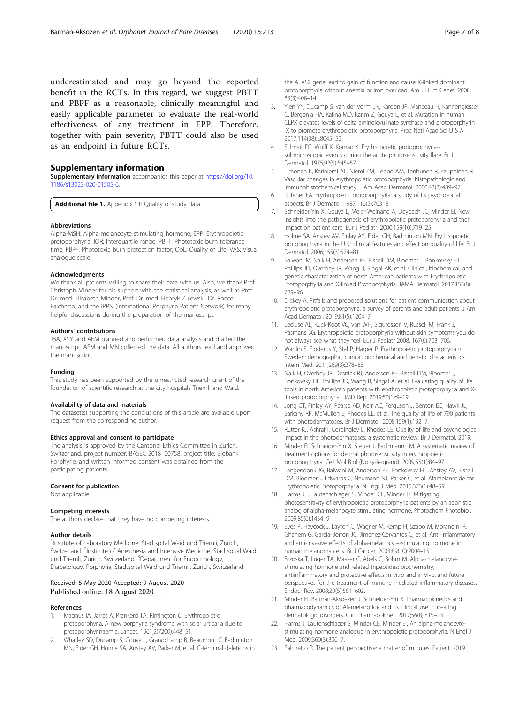<span id="page-6-0"></span>underestimated and may go beyond the reported benefit in the RCTs. In this regard, we suggest PBTT and PBPF as a reasonable, clinically meaningful and easily applicable parameter to evaluate the real-world effectiveness of any treatment in EPP. Therefore, together with pain severity, PBTT could also be used as an endpoint in future RCTs.

#### Supplementary information

Supplementary information accompanies this paper at [https://doi.org/10.](https://doi.org/10.1186/s13023-020-01505-6) [1186/s13023-020-01505-6](https://doi.org/10.1186/s13023-020-01505-6).

Additional file 1. Appendix S1: Quality of study data

#### Abbreviations

Alpha-MSH: Alpha-melanocyte stimulating hormone; EPP: Erythropoietic protoporphyria; IQR: Interquartile range; PBTT: Phototoxic burn tolerance time; PBPF: Phototoxic burn protection factor; QoL: Quality of Life; VAS: Visual analogue scale

#### Acknowledgments

We thank all patients willing to share their data with us. Also, we thank Prof. Christoph Minder for his support with the statistical analysis, as well as Prof. Dr. med. Elisabeth Minder, Prof. Dr. med. Henryk Zulewski, Dr. Rocco Falchetto, and the IPPN (International Porphyria Patient Network) for many helpful discussions during the preparation of the manuscript.

#### Authors' contributions

JBA, XSY and AEM planned and performed data analysis and drafted the manuscript. AEM and MN collected the data. All authors read and approved the manuscript.

#### Funding

This study has been supported by the unrestricted research grant of the foundation of scientific research at the city hospitals Triemli and Waid.

#### Availability of data and materials

The dataset(s) supporting the conclusions of this article are available upon request from the corresponding author.

#### Ethics approval and consent to participate

The analysis is approved by the Cantonal Ethics Committee in Zurich, Switzerland, project number: BASEC 2018–00758, project title: Biobank Porphyrie, and written informed consent was obtained from the participating patients.

#### Consent for publication

Not applicable.

#### Competing interests

The authors declare that they have no competing interests.

#### Author details

<sup>1</sup>Institute of Laboratory Medicine, Stadtspital Waid und Triemli, Zurich, Switzerland. <sup>2</sup>Institute of Anesthesia and Intensive Medicine, Stadtspital Waid und Triemli, Zurich, Switzerland. <sup>3</sup>Department for Endocrinology, Diabetology, Porphyria, Stadtspital Waid und Triemli, Zurich, Switzerland.

#### Received: 5 May 2020 Accepted: 9 August 2020 Published online: 18 August 2020

#### References

- 1. Magnus IA, Jarret A, Prankerd TA, Rimington C. Erythropoietic protoporphyria. A new porphyria syndrome with solar urticaria due to protoporphyrinaemia. Lancet. 1961;2(7200):448–51.
- 2. Whatley SD, Ducamp S, Gouya L, Grandchamp B, Beaumont C, Badminton MN, Elder GH, Holme SA, Anstey AV, Parker M, et al. C-terminal deletions in

the ALAS2 gene lead to gain of function and cause X-linked dominant protoporphyria without anemia or iron overload. Am J Hum Genet. 2008; 83(3):408–14.

- 3. Yien YY, Ducamp S, van der Vorm LN, Kardon JR, Manceau H, Kannengiesser C, Bergonia HA, Kafina MD, Karim Z, Gouya L, et al. Mutation in human CLPX elevates levels of delta-aminolevulinate synthase and protoporphyrin IX to promote erythropoietic protoporphyria. Proc Natl Acad Sci U S A. 2017;114(38):E8045–52.
- 4. Schnait FG, Wolff K, Konrad K. Erythropoietic protoprophyria- submicroscopic events during the acute photosensitivity flare. Br J Dermatol. 1975;92(5):545–57.
- 5. Timonen K, Kariniemi AL, Niemi KM, Teppo AM, Tenhunen R, Kauppinen R. Vascular changes in erythropoietic protoporphyria: histopathologic and immunohistochemical study. J Am Acad Dermatol. 2000;43(3):489–97.
- 6. Rufener EA. Erythropoietic protoporphyria: a study of its psychosocial aspects. Br J Dermatol. 1987;116(5):703–8.
- 7. Schneider-Yin X, Gouya L, Meier-Weinand A, Deybach JC, Minder EI. New insights into the pathogenesis of erythropoietic protoporphyria and their impact on patient care. Eur J Pediatr. 2000;159(10):719–25.
- 8. Holme SA, Anstey AV, Finlay AY, Elder GH, Badminton MN. Erythropoietic protoporphyria in the U.K.: clinical features and effect on quality of life. Br J Dermatol. 2006;155(3):574–81.
- 9. Balwani M, Naik H, Anderson KE, Bissell DM, Bloomer J, Bonkovsky HL, Phillips JD, Overbey JR, Wang B, Singal AK, et al. Clinical, biochemical, and genetic characterization of north American patients with Erythropoietic Protoporphyria and X-linked Protoporphyria. JAMA Dermatol. 2017;153(8): 789–96.
- 10. Dickey A. Pitfalls and proposed solutions for patient communication about erythropoietic protoporphyria: a survey of parents and adult patients. J Am Acad Dermatol. 2019;81(5):1204–7.
- 11. Lecluse AL, Kuck-Koot VC, van WH, Sigurdsson V, Russel IM, Frank J, Pasmans SG: Erythropoietic protoporphyria without skin symptoms-you do not always see what they feel. Eur J Pediatr 2008, 167(6):703–706.
- 12. Wahlin S, Floderus Y, Stal P, Harper P. Erythropoietic protoporphyria in Sweden: demographic, clinical, biochemical and genetic characteristics. J Intern Med. 2011;269(3):278–88.
- 13. Naik H, Overbey JR, Desnick RJ, Anderson KE, Bissell DM, Bloomer J, Bonkovsky HL, Phillips JD, Wang B, Singal A, et al. Evaluating quality of life tools in north American patients with erythropoietic protoporphyria and Xlinked protoporphyria. JIMD Rep. 2019;50(1):9–19.
- 14. Jong CT, Finlay AY, Pearse AD, Kerr AC, Ferguson J, Benton EC, Hawk JL, Sarkany RP, McMullen E, Rhodes LE, et al. The quality of life of 790 patients with photodermatoses. Br J Dermatol. 2008;159(1):192–7.
- 15. Rutter KJ, Ashraf I, Cordingley L, Rhodes LE. Quality of life and psychological impact in the photodermatoses: a systematic review. Br J Dermatol. 2019.
- 16. Minder EI, Schneider-Yin X, Steuer J, Bachmann LM. A systematic review of treatment options for dermal photosensitivity in erythropoietic protoporphyria. Cell Mol Biol (Noisy-le-grand). 2009;55(1):84–97.
- 17. Langendonk JG, Balwani M, Anderson KE, Bonkovsky HL, Anstey AV, Bissell DM, Bloomer J, Edwards C, Neumann NJ, Parker C, et al. Afamelanotide for Erythropoietic Protoporphyria. N Engl J Med. 2015;373(1):48–59.
- 18. Harms JH, Lautenschlager S, Minder CE, Minder EI. Mitigating photosensitivity of erythropoietic protoporphyria patients by an agonistic analog of alpha-melanocyte stimulating hormone. Photochem Photobiol. 2009;85(6):1434–9.
- 19. Eves P, Haycock J, Layton C, Wagner M, Kemp H, Szabo M, Morandini R, Ghanem G, Garcia-Borron JC, Jimenez-Cervantes C, et al. Anti-inflammatory and anti-invasive effects of alpha-melanocyte-stimulating hormone in human melanoma cells. Br J Cancer. 2003;89(10):2004–15.
- 20. Brzoska T, Luger TA, Maaser C, Abels C, Bohm M. Alpha-melanocytestimulating hormone and related tripeptides: biochemistry, antiinflammatory and protective effects in vitro and in vivo, and future perspectives for the treatment of immune-mediated inflammatory diseases. Endocr Rev. 2008;29(5):581–602.
- 21. Minder EI, Barman-Aksoezen J, Schneider-Yin X. Pharmacokinetics and pharmacodynamics of Afamelanotide and its clinical use in treating dermatologic disorders. Clin Pharmacokinet. 2017;56(8):815–23.
- 22. Harms J, Lautenschlager S, Minder CE, Minder EI. An alpha-melanocytestimulating hormone analogue in erythropoietic protoporphyria. N Engl J Med. 2009;360(3):306–7.
- 23. Falchetto R. The patient perspective: a matter of minutes. Patient. 2019.